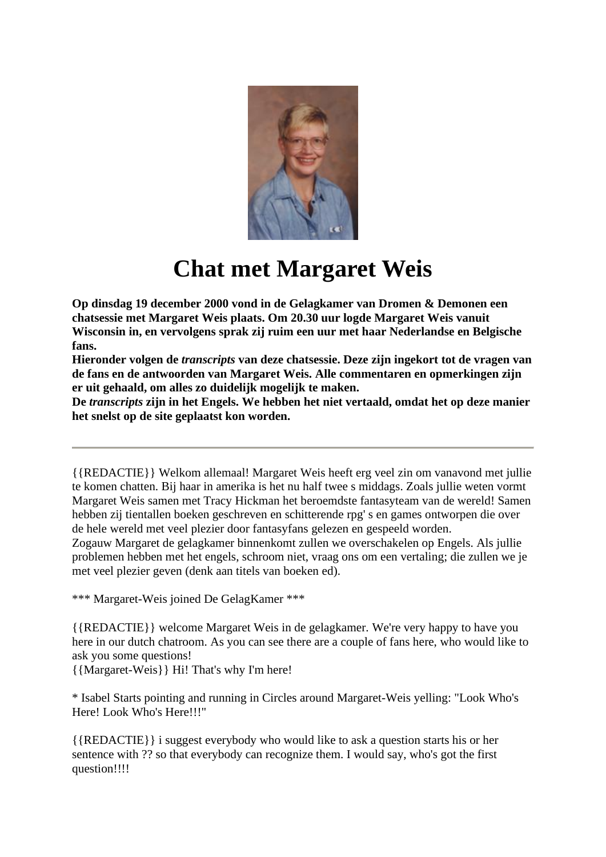

## **Chat met Margaret Weis**

**Op dinsdag 19 december 2000 vond in de Gelagkamer van Dromen & Demonen een chatsessie met Margaret Weis plaats. Om 20.30 uur logde Margaret Weis vanuit Wisconsin in, en vervolgens sprak zij ruim een uur met haar Nederlandse en Belgische fans.**

**Hieronder volgen de** *transcripts* **van deze chatsessie. Deze zijn ingekort tot de vragen van de fans en de antwoorden van Margaret Weis. Alle commentaren en opmerkingen zijn er uit gehaald, om alles zo duidelijk mogelijk te maken.**

**De** *transcripts* **zijn in het Engels. We hebben het niet vertaald, omdat het op deze manier het snelst op de site geplaatst kon worden.** 

{{REDACTIE}} Welkom allemaal! Margaret Weis heeft erg veel zin om vanavond met jullie te komen chatten. Bij haar in amerika is het nu half twee s middags. Zoals jullie weten vormt Margaret Weis samen met Tracy Hickman het beroemdste fantasyteam van de wereld! Samen hebben zij tientallen boeken geschreven en schitterende rpg' s en games ontworpen die over de hele wereld met veel plezier door fantasyfans gelezen en gespeeld worden.

Zogauw Margaret de gelagkamer binnenkomt zullen we overschakelen op Engels. Als jullie problemen hebben met het engels, schroom niet, vraag ons om een vertaling; die zullen we je met veel plezier geven (denk aan titels van boeken ed).

\*\*\* Margaret-Weis joined De GelagKamer \*\*\*

{{REDACTIE}} welcome Margaret Weis in de gelagkamer. We're very happy to have you here in our dutch chatroom. As you can see there are a couple of fans here, who would like to ask you some questions!

{{Margaret-Weis}} Hi! That's why I'm here!

\* Isabel Starts pointing and running in Circles around Margaret-Weis yelling: "Look Who's Here! Look Who's Here!!!"

{{REDACTIE}} i suggest everybody who would like to ask a question starts his or her sentence with ?? so that everybody can recognize them. I would say, who's got the first question!!!!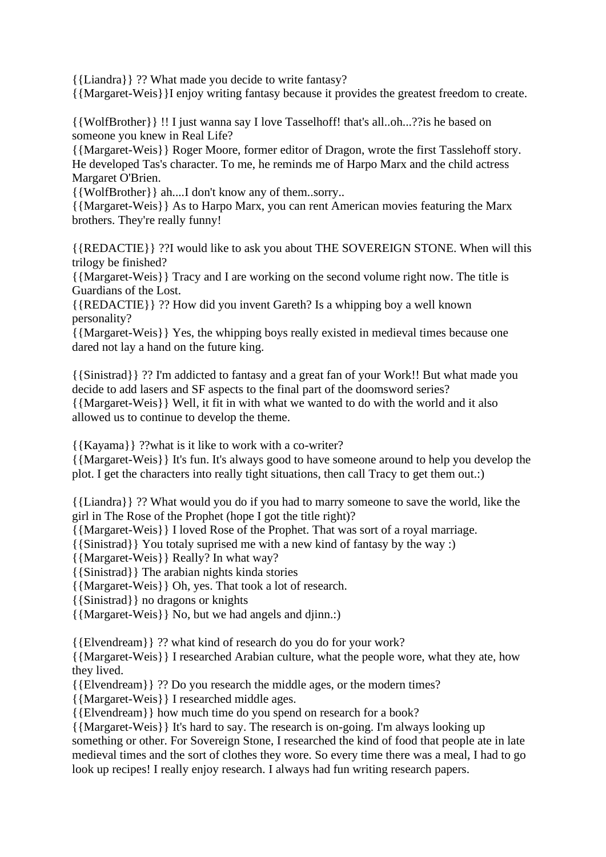{{Liandra}} ?? What made you decide to write fantasy?

{{Margaret-Weis}}I enjoy writing fantasy because it provides the greatest freedom to create.

{{WolfBrother}} !! I just wanna say I love Tasselhoff! that's all..oh...??is he based on someone you knew in Real Life?

{{Margaret-Weis}} Roger Moore, former editor of Dragon, wrote the first Tasslehoff story. He developed Tas's character. To me, he reminds me of Harpo Marx and the child actress Margaret O'Brien.

{{WolfBrother}} ah....I don't know any of them..sorry..

{{Margaret-Weis}} As to Harpo Marx, you can rent American movies featuring the Marx brothers. They're really funny!

{{REDACTIE}} ??I would like to ask you about THE SOVEREIGN STONE. When will this trilogy be finished?

{{Margaret-Weis}} Tracy and I are working on the second volume right now. The title is Guardians of the Lost.

{{REDACTIE}} ?? How did you invent Gareth? Is a whipping boy a well known personality?

{{Margaret-Weis}} Yes, the whipping boys really existed in medieval times because one dared not lay a hand on the future king.

{{Sinistrad}} ?? I'm addicted to fantasy and a great fan of your Work!! But what made you decide to add lasers and SF aspects to the final part of the doomsword series? {{Margaret-Weis}} Well, it fit in with what we wanted to do with the world and it also allowed us to continue to develop the theme.

{{Kayama}} ??what is it like to work with a co-writer?

{{Margaret-Weis}} It's fun. It's always good to have someone around to help you develop the plot. I get the characters into really tight situations, then call Tracy to get them out.:)

{{Liandra}} ?? What would you do if you had to marry someone to save the world, like the girl in The Rose of the Prophet (hope I got the title right)?

{{Margaret-Weis}} I loved Rose of the Prophet. That was sort of a royal marriage.

{{Sinistrad}} You totaly suprised me with a new kind of fantasy by the way :)

{{Margaret-Weis}} Really? In what way?

{{Sinistrad}} The arabian nights kinda stories

{{Margaret-Weis}} Oh, yes. That took a lot of research.

{{Sinistrad}} no dragons or knights

{{Margaret-Weis}} No, but we had angels and djinn.:)

{{Elvendream}} ?? what kind of research do you do for your work?

{{Margaret-Weis}} I researched Arabian culture, what the people wore, what they ate, how they lived.

{{Elvendream}} ?? Do you research the middle ages, or the modern times?

{{Margaret-Weis}} I researched middle ages.

{{Elvendream}} how much time do you spend on research for a book?

{{Margaret-Weis}} It's hard to say. The research is on-going. I'm always looking up something or other. For Sovereign Stone, I researched the kind of food that people ate in late medieval times and the sort of clothes they wore. So every time there was a meal, I had to go look up recipes! I really enjoy research. I always had fun writing research papers.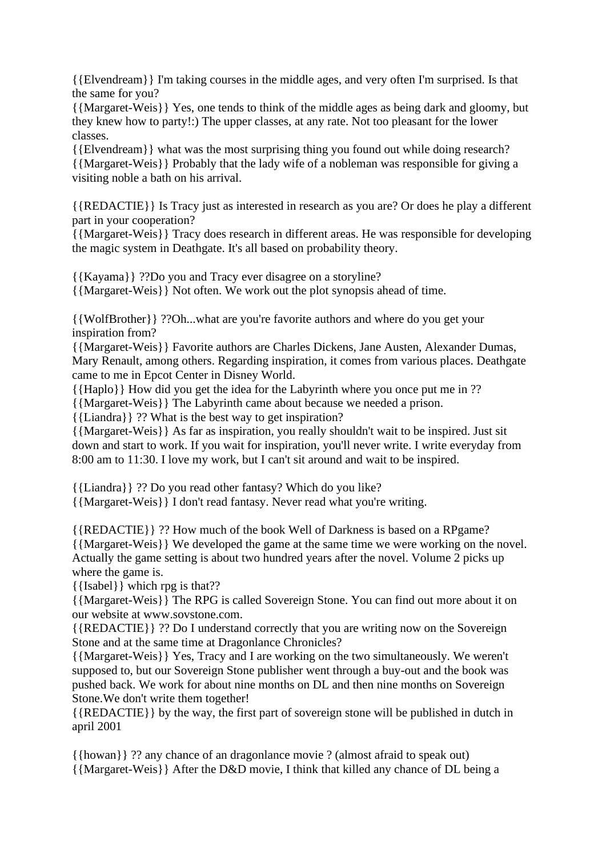{{Elvendream}} I'm taking courses in the middle ages, and very often I'm surprised. Is that the same for you?

{{Margaret-Weis}} Yes, one tends to think of the middle ages as being dark and gloomy, but they knew how to party!:) The upper classes, at any rate. Not too pleasant for the lower classes.

{{Elvendream}} what was the most surprising thing you found out while doing research? {{Margaret-Weis}} Probably that the lady wife of a nobleman was responsible for giving a visiting noble a bath on his arrival.

{{REDACTIE}} Is Tracy just as interested in research as you are? Or does he play a different part in your cooperation?

{{Margaret-Weis}} Tracy does research in different areas. He was responsible for developing the magic system in Deathgate. It's all based on probability theory.

{{Kayama}} ??Do you and Tracy ever disagree on a storyline? {{Margaret-Weis}} Not often. We work out the plot synopsis ahead of time.

{{WolfBrother}} ??Oh...what are you're favorite authors and where do you get your inspiration from?

{{Margaret-Weis}} Favorite authors are Charles Dickens, Jane Austen, Alexander Dumas, Mary Renault, among others. Regarding inspiration, it comes from various places. Deathgate came to me in Epcot Center in Disney World.

{{Haplo}} How did you get the idea for the Labyrinth where you once put me in ??

{{Margaret-Weis}} The Labyrinth came about because we needed a prison.

{{Liandra}} ?? What is the best way to get inspiration?

{{Margaret-Weis}} As far as inspiration, you really shouldn't wait to be inspired. Just sit down and start to work. If you wait for inspiration, you'll never write. I write everyday from 8:00 am to 11:30. I love my work, but I can't sit around and wait to be inspired.

{{Liandra}} ?? Do you read other fantasy? Which do you like?

{{Margaret-Weis}} I don't read fantasy. Never read what you're writing.

{{REDACTIE}} ?? How much of the book Well of Darkness is based on a RPgame? {{Margaret-Weis}} We developed the game at the same time we were working on the novel. Actually the game setting is about two hundred years after the novel. Volume 2 picks up where the game is.

{{Isabel}} which rpg is that??

{{Margaret-Weis}} The RPG is called Sovereign Stone. You can find out more about it on our website at www.sovstone.com.

{{REDACTIE}} ?? Do I understand correctly that you are writing now on the Sovereign Stone and at the same time at Dragonlance Chronicles?

{{Margaret-Weis}} Yes, Tracy and I are working on the two simultaneously. We weren't supposed to, but our Sovereign Stone publisher went through a buy-out and the book was pushed back. We work for about nine months on DL and then nine months on Sovereign Stone.We don't write them together!

{{REDACTIE}} by the way, the first part of sovereign stone will be published in dutch in april 2001

{{howan}} ?? any chance of an dragonlance movie ? (almost afraid to speak out) {{Margaret-Weis}} After the D&D movie, I think that killed any chance of DL being a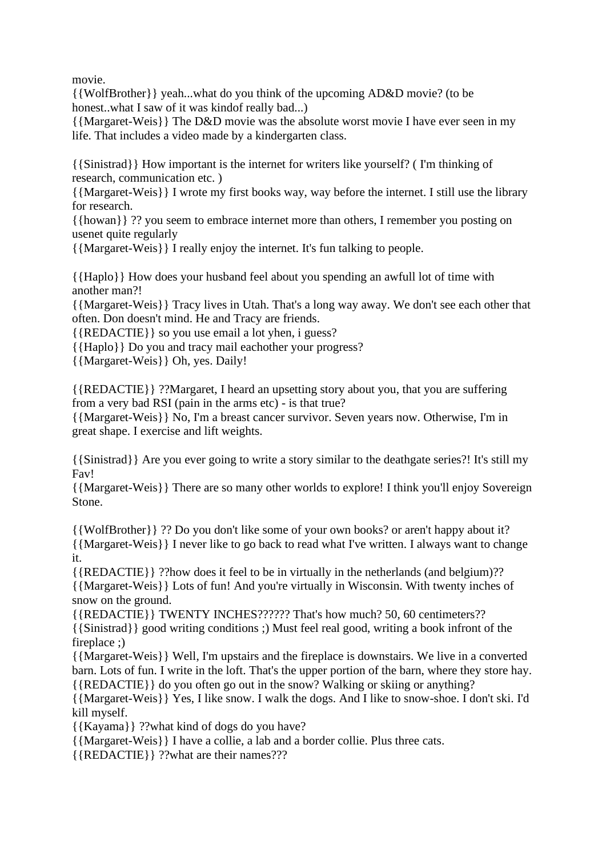movie.

{{WolfBrother}} yeah...what do you think of the upcoming AD&D movie? (to be honest..what I saw of it was kindof really bad...)

{{Margaret-Weis}} The D&D movie was the absolute worst movie I have ever seen in my life. That includes a video made by a kindergarten class.

{{Sinistrad}} How important is the internet for writers like yourself? ( I'm thinking of research, communication etc. )

{{Margaret-Weis}} I wrote my first books way, way before the internet. I still use the library for research.

{{howan}} ?? you seem to embrace internet more than others, I remember you posting on usenet quite regularly

{{Margaret-Weis}} I really enjoy the internet. It's fun talking to people.

{{Haplo}} How does your husband feel about you spending an awfull lot of time with another man?!

{{Margaret-Weis}} Tracy lives in Utah. That's a long way away. We don't see each other that often. Don doesn't mind. He and Tracy are friends.

{{REDACTIE}} so you use email a lot yhen, i guess?

{{Haplo}} Do you and tracy mail eachother your progress?

{{Margaret-Weis}} Oh, yes. Daily!

{{REDACTIE}} ??Margaret, I heard an upsetting story about you, that you are suffering from a very bad RSI (pain in the arms etc) - is that true?

{{Margaret-Weis}} No, I'm a breast cancer survivor. Seven years now. Otherwise, I'm in great shape. I exercise and lift weights.

{{Sinistrad}} Are you ever going to write a story similar to the deathgate series?! It's still my Fav!

{{Margaret-Weis}} There are so many other worlds to explore! I think you'll enjoy Sovereign Stone.

{{WolfBrother}} ?? Do you don't like some of your own books? or aren't happy about it? {{Margaret-Weis}} I never like to go back to read what I've written. I always want to change it.

{{REDACTIE}} ??how does it feel to be in virtually in the netherlands (and belgium)?? {{Margaret-Weis}} Lots of fun! And you're virtually in Wisconsin. With twenty inches of snow on the ground.

{{REDACTIE}} TWENTY INCHES?????? That's how much? 50, 60 centimeters?? {{Sinistrad}} good writing conditions ;) Must feel real good, writing a book infront of the fireplace ;)

{{Margaret-Weis}} Well, I'm upstairs and the fireplace is downstairs. We live in a converted barn. Lots of fun. I write in the loft. That's the upper portion of the barn, where they store hay. {{REDACTIE}} do you often go out in the snow? Walking or skiing or anything?

{{Margaret-Weis}} Yes, I like snow. I walk the dogs. And I like to snow-shoe. I don't ski. I'd kill myself.

{{Kayama}} ??what kind of dogs do you have?

{{Margaret-Weis}} I have a collie, a lab and a border collie. Plus three cats.

{{REDACTIE}} ??what are their names???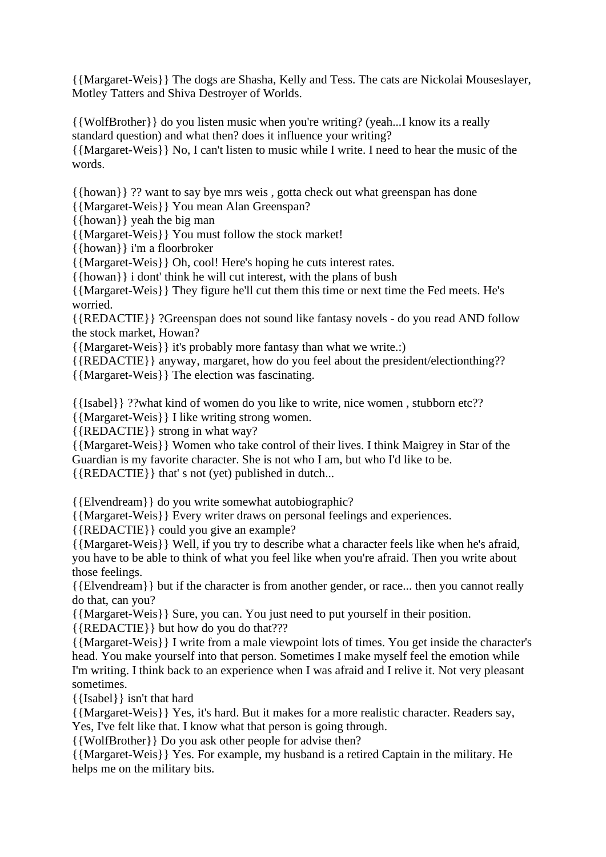{{Margaret-Weis}} The dogs are Shasha, Kelly and Tess. The cats are Nickolai Mouseslayer, Motley Tatters and Shiva Destroyer of Worlds.

{{WolfBrother}} do you listen music when you're writing? (yeah...I know its a really standard question) and what then? does it influence your writing?

{{Margaret-Weis}} No, I can't listen to music while I write. I need to hear the music of the words.

{{howan}} ?? want to say bye mrs weis , gotta check out what greenspan has done

{{Margaret-Weis}} You mean Alan Greenspan?

{{howan}} yeah the big man

{{Margaret-Weis}} You must follow the stock market!

{{howan}} i'm a floorbroker

{{Margaret-Weis}} Oh, cool! Here's hoping he cuts interest rates.

{{howan}} i dont' think he will cut interest, with the plans of bush

{{Margaret-Weis}} They figure he'll cut them this time or next time the Fed meets. He's worried.

{{REDACTIE}} ?Greenspan does not sound like fantasy novels - do you read AND follow the stock market, Howan?

{{Margaret-Weis}} it's probably more fantasy than what we write.:)

{{REDACTIE}} anyway, margaret, how do you feel about the president/electionthing??

{{Margaret-Weis}} The election was fascinating.

{{Isabel}} ??what kind of women do you like to write, nice women , stubborn etc??

{{Margaret-Weis}} I like writing strong women.

{{REDACTIE}} strong in what way?

{{Margaret-Weis}} Women who take control of their lives. I think Maigrey in Star of the Guardian is my favorite character. She is not who I am, but who I'd like to be. {{REDACTIE}} that' s not (yet) published in dutch...

{{Elvendream}} do you write somewhat autobiographic?

{{Margaret-Weis}} Every writer draws on personal feelings and experiences.

{{REDACTIE}} could you give an example?

{{Margaret-Weis}} Well, if you try to describe what a character feels like when he's afraid, you have to be able to think of what you feel like when you're afraid. Then you write about those feelings.

{{Elvendream}} but if the character is from another gender, or race... then you cannot really do that, can you?

{{Margaret-Weis}} Sure, you can. You just need to put yourself in their position.

{{REDACTIE}} but how do you do that???

{{Margaret-Weis}} I write from a male viewpoint lots of times. You get inside the character's head. You make yourself into that person. Sometimes I make myself feel the emotion while I'm writing. I think back to an experience when I was afraid and I relive it. Not very pleasant sometimes.

{{Isabel}} isn't that hard

{{Margaret-Weis}} Yes, it's hard. But it makes for a more realistic character. Readers say, Yes, I've felt like that. I know what that person is going through.

{{WolfBrother}} Do you ask other people for advise then?

{{Margaret-Weis}} Yes. For example, my husband is a retired Captain in the military. He helps me on the military bits.